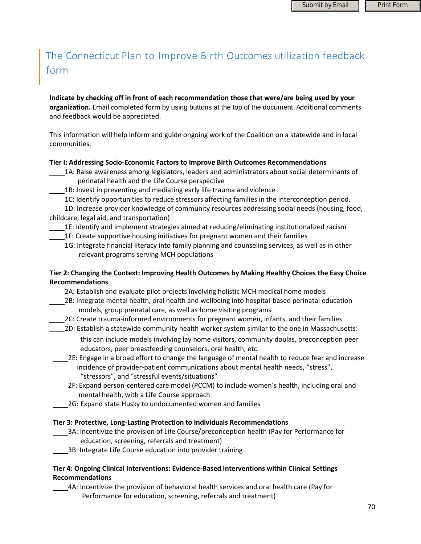# The Connecticut Plan to Improve Birth Outcomes utilization feedback form

**Indicate by checking off in front of each recommendation those that were/are being used by your organization.** Email completed form by using buttons at the top of the document. Additional comments and feedback would be appreciated.

This information will help inform and guide ongoing work of the Coalition on a statewide and in local communities.

#### **Tier I: Addressing Socio‐Economic Factors to Improve Birth Outcomes Recommendations**

- 1A: Raise awareness among legislators, leaders and administrators about social determinants of perinatal health and the Life Course perspective
	- 1B: Invest in preventing and mediating early life trauma and violence
- 1C: Identify opportunities to reduce stressors affecting families in the interconception period.

 1D: Increase provider knowledge of community resources addressing social needs (housing, food, childcare, legal aid, and transportation)

- 1E: Identify and implement strategies aimed at reducing/eliminating institutionalized racism
- 1F: Create supportive housing initiatives for pregnant women and their families
- 1G: Integrate financial literacy into family planning and counseling services, as well as in other relevant programs serving MCH populations

# **Tier 2: Changing the Context: Improving Health Outcomes by Making Healthy Choices the Easy Choice Recommendations**

2A: Establish and evaluate pilot projects involving holistic MCH medical home models

- 2B: Integrate mental health, oral health and wellbeing into hospital‐based perinatal education models, group prenatal care, as well as home visiting programs
- 2C: Create trauma‐informed environments for pregnant women, infants, and their families
- 2D: Establish a statewide community health worker system similar to the one in Massachusetts:
	- this can include models involving lay home visitors, community doulas, preconception peer educators, peer breastfeeding counselors, oral health, etc.
	- 2E: Engage in a broad effort to change the language of mental health to reduce fear and increase incidence of provider‐patient communications about mental health needs, "stress", "stressors", and "stressful events/situations"
	- 2F: Expand person‐centered care model (PCCM) to include women's health, including oral and mental health, with a Life Course approach
	- 2G: Expand state Husky to undocumented women and families

#### **Tier 3: Protective, Long‐Lasting Protection to Individuals Recommendations**

- 3A: Incentivize the provision of Life Course/preconception health (Pay for Performance for
	- education, screening, referrals and treatment) 3B: Integrate Life Course education into provider training

# **Tier 4: Ongoing Clinical Interventions: Evidence‐Based Interventions within Clinical Settings Recommendations**

 4A: Incentivize the provision of behavioral health services and oral health care (Pay for Performance for education, screening, referrals and treatment)